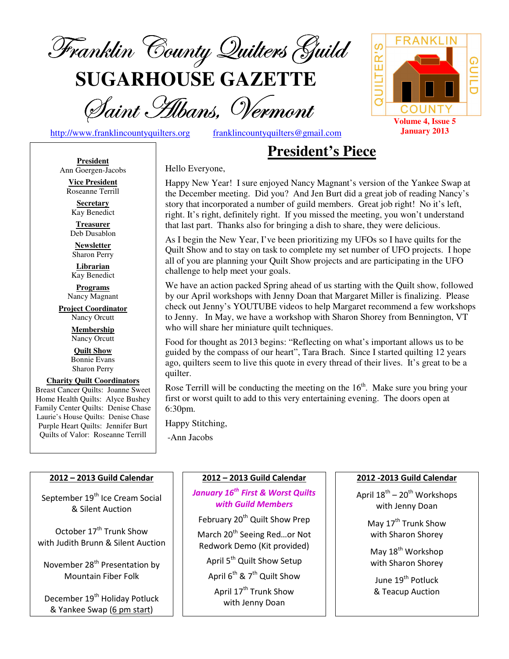

**SUGARHOUSE GAZETTE**

Saint Hibans, Vermont

http://www.franklincountyquilters.org franklincountyquilters@gmail.com

# **President's Piece**

**President** Ann Goergen-Jacobs

**Vice President**  Roseanne Terrill

**Secretary**  Kay Benedict

**Treasurer**  Deb Dusablon

**Newsletter**  Sharon Perry

**Librarian**  Kay Benedict

**Programs** Nancy Magnant

**Project Coordinator** Nancy Orcutt

> **Membership**  Nancy Orcutt

**Quilt Show** Bonnie Evans Sharon Perry

**Charity Quilt Coordinators** Breast Cancer Quilts: Joanne Sweet Home Health Quilts: Alyce Bushey Family Center Quilts: Denise Chase Laurie's House Quilts: Denise Chase Purple Heart Quilts: Jennifer Burt Quilts of Valor: Roseanne Terrill

#### Hello Everyone,

Happy New Year! I sure enjoyed Nancy Magnant's version of the Yankee Swap at the December meeting. Did you? And Jen Burt did a great job of reading Nancy's story that incorporated a number of guild members. Great job right! No it's left, right. It's right, definitely right. If you missed the meeting, you won't understand that last part. Thanks also for bringing a dish to share, they were delicious.

As I begin the New Year, I've been prioritizing my UFOs so I have quilts for the Quilt Show and to stay on task to complete my set number of UFO projects. I hope all of you are planning your Quilt Show projects and are participating in the UFO challenge to help meet your goals.

We have an action packed Spring ahead of us starting with the Quilt show, followed by our April workshops with Jenny Doan that Margaret Miller is finalizing. Please check out Jenny's YOUTUBE videos to help Margaret recommend a few workshops to Jenny. In May, we have a workshop with Sharon Shorey from Bennington, VT who will share her miniature quilt techniques.

Food for thought as 2013 begins: "Reflecting on what's important allows us to be guided by the compass of our heart", Tara Brach. Since I started quilting 12 years ago, quilters seem to live this quote in every thread of their lives. It's great to be a quilter.

Rose Terrill will be conducting the meeting on the  $16<sup>th</sup>$ . Make sure you bring your first or worst quilt to add to this very entertaining evening. The doors open at 6:30pm.

Happy Stitching,

-Ann Jacobs

#### 2012 – 2013 Guild Calendar

September 19<sup>th</sup> Ice Cream Social & Silent Auction

October 17<sup>th</sup> Trunk Show with Judith Brunn & Silent Auction

November 28<sup>th</sup> Presentation by Mountain Fiber Folk

December 19<sup>th</sup> Holiday Potluck & Yankee Swap (6 pm start)

#### 2012 – 2013 Guild Calendar

#### January 16<sup>th</sup> First & Worst Quilts with Guild Members

February 20<sup>th</sup> Quilt Show Prep

March 20<sup>th</sup> Seeing Red...or Not Redwork Demo (Kit provided)

April 5<sup>th</sup> Quilt Show Setup

April  $6^{th}$  & 7<sup>th</sup> Quilt Show

April 17<sup>th</sup> Trunk Show with Jenny Doan

#### 2012 -2013 Guild Calendar

April  $18^{th}$  –  $20^{th}$  Workshops with Jenny Doan

> May 17<sup>th</sup> Trunk Show with Sharon Shorey

May 18<sup>th</sup> Workshop with Sharon Shorey

June 19<sup>th</sup> Potluck & Teacup Auction

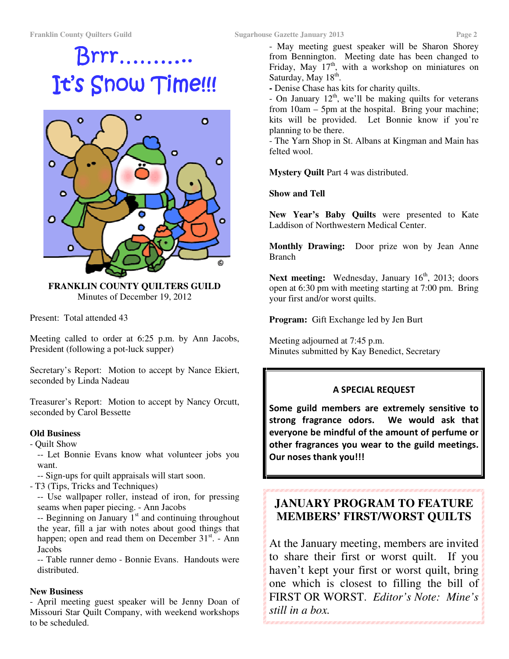# Brrr……….. Brrr……….. It's Snow Time!!!



**FRANKLIN COUNTY QUILTERS GUILD**  Minutes of December 19, 2012

Present: Total attended 43

Meeting called to order at 6:25 p.m. by Ann Jacobs, President (following a pot-luck supper)

Secretary's Report: Motion to accept by Nance Ekiert, seconded by Linda Nadeau

Treasurer's Report: Motion to accept by Nancy Orcutt, seconded by Carol Bessette

#### **Old Business**

- Quilt Show

-- Let Bonnie Evans know what volunteer jobs you want.

-- Sign-ups for quilt appraisals will start soon.

- T3 (Tips, Tricks and Techniques)

-- Use wallpaper roller, instead of iron, for pressing seams when paper piecing. - Ann Jacobs

 $-$  Beginning on January  $1<sup>st</sup>$  and continuing throughout the year, fill a jar with notes about good things that happen; open and read them on December 31<sup>st</sup>. - Ann **Jacobs** 

-- Table runner demo - Bonnie Evans. Handouts were distributed.

#### **New Business**

- April meeting guest speaker will be Jenny Doan of Missouri Star Quilt Company, with weekend workshops to be scheduled.

- May meeting guest speaker will be Sharon Shorey from Bennington. Meeting date has been changed to Friday, May  $17<sup>th</sup>$ , with a workshop on miniatures on Saturday, May 18<sup>th</sup>.

**-** Denise Chase has kits for charity quilts.

- On January  $12<sup>th</sup>$ , we'll be making quilts for veterans from 10am – 5pm at the hospital. Bring your machine; kits will be provided. Let Bonnie know if you're planning to be there.

- The Yarn Shop in St. Albans at Kingman and Main has felted wool.

**Mystery Quilt** Part 4 was distributed.

**Show and Tell** 

**New Year's Baby Quilts** were presented to Kate Laddison of Northwestern Medical Center.

**Monthly Drawing:** Door prize won by Jean Anne Branch

Next meeting: Wednesday, January 16<sup>th</sup>, 2013; doors open at 6:30 pm with meeting starting at 7:00 pm. Bring your first and/or worst quilts.

**Program:** Gift Exchange led by Jen Burt

Meeting adjourned at 7:45 p.m. Minutes submitted by Kay Benedict, Secretary

#### A SPECIAL REQUEST

Some guild members are extremely sensitive to strong fragrance odors. We would ask that everyone be mindful of the amount of perfume or other fragrances you wear to the guild meetings. Our noses thank you!!!

# **JANUARY PROGRAM TO FEATURE MEMBERS' FIRST/WORST QUILTS**

At the January meeting, members are invited to share their first or worst quilt. If you haven't kept your first or worst quilt, bring one which is closest to filling the bill of FIRST OR WORST. *Editor's Note: Mine's still in a box.*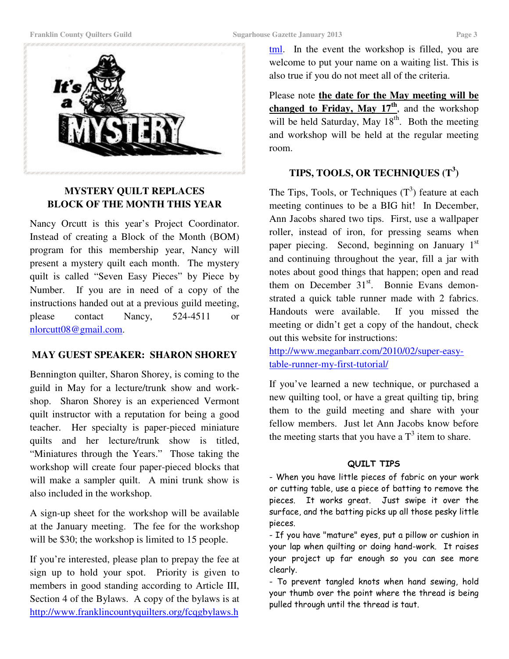

#### **MYSTERY QUILT REPLACES BLOCK OF THE MONTH THIS YEAR**

Nancy Orcutt is this year's Project Coordinator. Instead of creating a Block of the Month (BOM) program for this membership year, Nancy will present a mystery quilt each month. The mystery quilt is called "Seven Easy Pieces" by Piece by Number. If you are in need of a copy of the instructions handed out at a previous guild meeting, please contact Nancy, 524-4511 or nlorcutt08@gmail.com.

#### **MAY GUEST SPEAKER: SHARON SHOREY**

Bennington quilter, Sharon Shorey, is coming to the guild in May for a lecture/trunk show and workshop. Sharon Shorey is an experienced Vermont quilt instructor with a reputation for being a good teacher. Her specialty is paper-pieced miniature quilts and her lecture/trunk show is titled, "Miniatures through the Years." Those taking the workshop will create four paper-pieced blocks that will make a sampler quilt. A mini trunk show is also included in the workshop.

A sign-up sheet for the workshop will be available at the January meeting. The fee for the workshop will be \$30; the workshop is limited to 15 people.

If you're interested, please plan to prepay the fee at sign up to hold your spot. Priority is given to members in good standing according to Article III, Section 4 of the Bylaws. A copy of the bylaws is at http://www.franklincountyquilters.org/fcqgbylaws.h

tml. In the event the workshop is filled, you are welcome to put your name on a waiting list. This is also true if you do not meet all of the criteria.

Please note **the date for the May meeting will be changed to Friday, May 17th**, and the workshop will be held Saturday, May 18<sup>th</sup>. Both the meeting and workshop will be held at the regular meeting room.

### **TIPS, TOOLS, OR TECHNIQUES (T<sup>3</sup> )**

The Tips, Tools, or Techniques  $(T^3)$  feature at each meeting continues to be a BIG hit! In December, Ann Jacobs shared two tips. First, use a wallpaper roller, instead of iron, for pressing seams when paper piecing. Second, beginning on January  $1<sup>st</sup>$ and continuing throughout the year, fill a jar with notes about good things that happen; open and read them on December  $31<sup>st</sup>$ . Bonnie Evans demonstrated a quick table runner made with 2 fabrics. Handouts were available. If you missed the meeting or didn't get a copy of the handout, check out this website for instructions:

http://www.meganbarr.com/2010/02/super-easytable-runner-my-first-tutorial/

If you've learned a new technique, or purchased a new quilting tool, or have a great quilting tip, bring them to the guild meeting and share with your fellow members. Just let Ann Jacobs know before the meeting starts that you have a  $T<sup>3</sup>$  item to share.

#### QUILT TIPS

- When you have little pieces of fabric on your work or cutting table, use a piece of batting to remove the pieces. It works great. Just swipe it over the surface, and the batting picks up all those pesky little pieces.

- If you have "mature" eyes, put a pillow or cushion in your lap when quilting or doing hand-work. It raises your project up far enough so you can see more clearly.

- To prevent tangled knots when hand sewing, hold your thumb over the point where the thread is being pulled through until the thread is taut.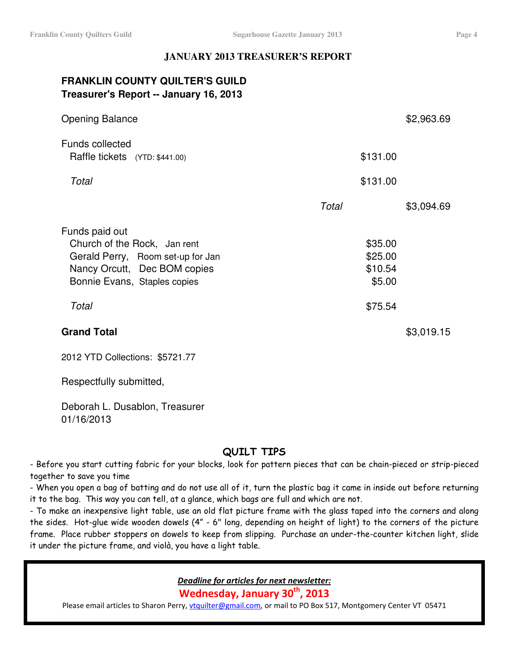#### **JANUARY 2013 TREASURER'S REPORT**

# **FRANKLIN COUNTY QUILTER'S GUILD Treasurer's Report -- January 16, 2013**

| <b>Opening Balance</b>                                                                                                                                       |       | \$2,963.69                                         |
|--------------------------------------------------------------------------------------------------------------------------------------------------------------|-------|----------------------------------------------------|
| <b>Funds collected</b><br>Raffle tickets (YTD: \$441.00)                                                                                                     |       | \$131.00                                           |
| Total                                                                                                                                                        |       | \$131.00                                           |
|                                                                                                                                                              | Total | \$3,094.69                                         |
| Funds paid out<br>Church of the Rock, Jan rent<br>Gerald Perry, Room set-up for Jan<br>Nancy Orcutt, Dec BOM copies<br>Bonnie Evans, Staples copies<br>Total |       | \$35.00<br>\$25.00<br>\$10.54<br>\$5.00<br>\$75.54 |
| <b>Grand Total</b>                                                                                                                                           |       | \$3,019.15                                         |

2012 YTD Collections: \$5721.77

Respectfully submitted,

Deborah L. Dusablon, Treasurer 01/16/2013

## QUILT TIPS

- Before you start cutting fabric for your blocks, look for pattern pieces that can be chain-pieced or strip-pieced together to save you time

- When you open a bag of batting and do not use all of it, turn the plastic bag it came in inside out before returning it to the bag. This way you can tell, at a glance, which bags are full and which are not.

- To make an inexpensive light table, use an old flat picture frame with the glass taped into the corners and along the sides. Hot-glue wide wooden dowels (4" - 6" long, depending on height of light) to the corners of the picture frame. Place rubber stoppers on dowels to keep from slipping. Purchase an under-the-counter kitchen light, slide it under the picture frame, and violà, you have a light table.

Deadline for articles for next newsletter:

Wednesday, January 30<sup>th</sup>, 2013

Please email articles to Sharon Perry, vtquilter@gmail.com, or mail to PO Box 517, Montgomery Center VT 05471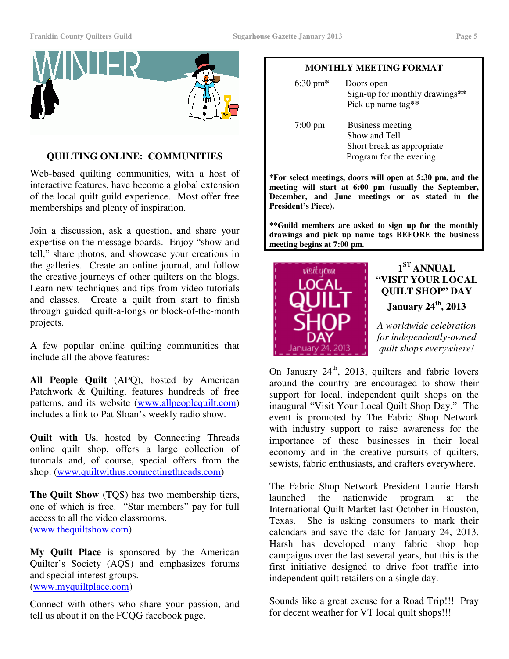

#### **QUILTING ONLINE: COMMUNITIES**

Web-based quilting communities, with a host of interactive features, have become a global extension of the local quilt guild experience. Most offer free memberships and plenty of inspiration.

Join a discussion, ask a question, and share your expertise on the message boards. Enjoy "show and tell," share photos, and showcase your creations in the galleries. Create an online journal, and follow the creative journeys of other quilters on the blogs. Learn new techniques and tips from video tutorials and classes. Create a quilt from start to finish through guided quilt-a-longs or block-of-the-month projects.

A few popular online quilting communities that include all the above features:

**All People Quilt** (APQ), hosted by American Patchwork & Quilting, features hundreds of free patterns, and its website (www.allpeoplequilt.com) includes a link to Pat Sloan's weekly radio show.

**Quilt with Us**, hosted by Connecting Threads online quilt shop, offers a large collection of tutorials and, of course, special offers from the shop. (www.quiltwithus.connectingthreads.com)

**The Quilt Show** (TQS) has two membership tiers, one of which is free. "Star members" pay for full access to all the video classrooms. (www.thequiltshow.com)

**My Quilt Place** is sponsored by the American Quilter's Society (AQS) and emphasizes forums and special interest groups. (www.myquiltplace.com)

Connect with others who share your passion, and tell us about it on the FCQG facebook page.

#### **MONTHLY MEETING FORMAT**

| $6:30 \text{ pm*}$ | Doors open<br>Sign-up for monthly drawings**<br>Pick up name tag**                                |
|--------------------|---------------------------------------------------------------------------------------------------|
| $7:00 \text{ pm}$  | <b>Business meeting</b><br>Show and Tell<br>Short break as appropriate<br>Program for the evening |

**\*For select meetings, doors will open at 5:30 pm, and the meeting will start at 6:00 pm (usually the September, December, and June meetings or as stated in the President's Piece).** 

**\*\*Guild members are asked to sign up for the monthly drawings and pick up name tags BEFORE the business meeting begins at 7:00 pm.** 



# **1 ST ANNUAL "VISIT YOUR LOCAL QUILT SHOP" DAY January 24th, 2013**

*A worldwide celebration for independently-owned quilt shops everywhere!* 

On January  $24<sup>th</sup>$ , 2013, quilters and fabric lovers around the country are encouraged to show their support for local, independent quilt shops on the inaugural "Visit Your Local Quilt Shop Day." The event is promoted by The Fabric Shop Network with industry support to raise awareness for the importance of these businesses in their local economy and in the creative pursuits of quilters, sewists, fabric enthusiasts, and crafters everywhere.

The Fabric Shop Network President Laurie Harsh launched the nationwide program at the International Quilt Market last October in Houston, Texas. She is asking consumers to mark their calendars and save the date for January 24, 2013. Harsh has developed many fabric shop hop campaigns over the last several years, but this is the first initiative designed to drive foot traffic into independent quilt retailers on a single day.

Sounds like a great excuse for a Road Trip!!! Pray for decent weather for VT local quilt shops!!!